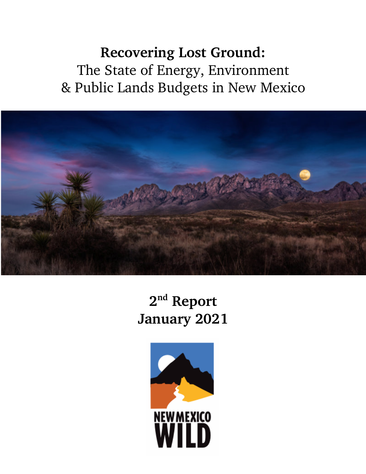**Recovering Lost Ground:** The State of Energy, Environment & Public Lands Budgets in New Mexico



**2nd Report January 2021**

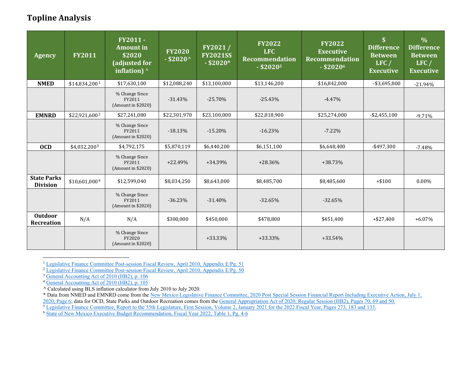# <span id="page-1-3"></span><span id="page-1-2"></span><span id="page-1-1"></span><span id="page-1-0"></span>**Topline Analysis**

| <b>Agency</b>                         | <b>FY2011</b>             | FY2011-<br><b>Amount in</b><br>\$2020<br>(adjusted for<br>inflation) $\wedge$ | <b>FY2020</b><br>$-$ \$2020^ | FY2021/<br><b>FY2021SS</b><br>$-$ \$2020* | <b>FY2022</b><br><b>LFC</b><br><b>Recommendation</b><br>$-$ \$20205 | <b>FY2022</b><br><b>Executive</b><br><b>Recommendation</b><br>$-$ \$20206 | $\overline{\mathbf{S}}$<br><b>Difference</b><br><b>Between</b><br>LFC/<br><b>Executive</b> | $\frac{0}{0}$<br><b>Difference</b><br><b>Between</b><br>LFC/<br><b>Executive</b> |
|---------------------------------------|---------------------------|-------------------------------------------------------------------------------|------------------------------|-------------------------------------------|---------------------------------------------------------------------|---------------------------------------------------------------------------|--------------------------------------------------------------------------------------------|----------------------------------------------------------------------------------|
| <b>NMED</b>                           | \$14,834,2001             | \$17,630,100                                                                  | \$12,088,240                 | \$13,100,000                              | \$13,146,200                                                        | \$16,842,000                                                              | $-$ \$3,695,800                                                                            | $-21.94%$                                                                        |
|                                       |                           | % Change Since<br>FY2011<br>(Amount in \$2020)                                | $-31.43%$                    | $-25.70%$                                 | $-25.43%$                                                           | $-4.47%$                                                                  |                                                                                            |                                                                                  |
| <b>EMNRD</b>                          | \$22,921,600 <sup>2</sup> | \$27,241,080                                                                  | \$22,301,970                 | \$23,100,000                              | \$22,818,900                                                        | \$25,274,000                                                              | $-$ \$2,455,100                                                                            | $-9.71%$                                                                         |
|                                       |                           | % Change Since<br>FY2011<br>(Amount in \$2020)                                | $-18.13%$                    | $-15.20%$                                 | $-16.23%$                                                           | $-7.22\%$                                                                 |                                                                                            |                                                                                  |
| <b>OCD</b>                            | \$4,032,2003              | \$4,792,175                                                                   | \$5,870,119                  | \$6,440,200                               | \$6,151,100                                                         | \$6,648,400                                                               | $-$ \$497,300                                                                              | $-7.48%$                                                                         |
|                                       |                           | % Change Since<br>FY2011<br>(Amount in \$2020)                                | $+22.49%$                    | +34.39%                                   | $+28.36%$                                                           | $+38.73%$                                                                 |                                                                                            |                                                                                  |
| <b>State Parks</b><br><b>Division</b> | \$10,601,0004             | \$12,599,040                                                                  | \$8,034,250                  | \$8,643,000                               | \$8,485,700                                                         | \$8,485,600                                                               | $+ $100$                                                                                   | $0.00\%$                                                                         |
|                                       |                           | % Change Since<br>FY2011<br>(Amount in \$2020)                                | $-36.23%$                    | $-31.40%$                                 | $-32.65%$                                                           | $-32.65%$                                                                 |                                                                                            |                                                                                  |
| <b>Outdoor</b><br><b>Recreation</b>   | N/A                       | N/A                                                                           | \$300,000                    | \$450,000                                 | \$478,800                                                           | \$451,400                                                                 | $+ $27,400$                                                                                | $+6.07%$                                                                         |
|                                       |                           | % Change Since<br>FY2020<br>(Amount in \$2020)                                |                              | $+33.33\%$                                | $+33.33\%$                                                          | $+33.54%$                                                                 |                                                                                            |                                                                                  |

 $\overline{a}$ <sup>1</sup> [Legislative Finance Committee Post-session Fiscal Review, April 2010, Appendix E/Pg. 51](https://www.nmlegis.gov/Entity/LFC/Documents/Session_Publications/Post_Session_Fiscal_Reviews/April%202010.pdf)

<sup>2</sup> [Legislative Finance Committee Post-session Fiscal Review, April 2010, Appendix E/Pg. 50](https://www.nmlegis.gov/Entity/LFC/Documents/Session_Publications/Post_Session_Fiscal_Reviews/April%202010.pdf)

<sup>3</sup> [General Accounting Act of 2010 \(HB2\), p. 106](https://www.nmlegis.gov/Sessions/10%20Regular/bills/house/HB0002AFS.pdf)

<sup>4</sup> [General Accounting Act of 2010 \(HB2\), p. 105](https://www.nmlegis.gov/Sessions/10%20Regular/bills/house/HB0002AFS.pdf)

*^* Calculated using BLS inflation calculator from July 2010 to July 2020.

\* Data from NMED and EMNRD come from the [New Mexico Legislative Finance Committee, 2020 Post Special Session Financial Report Including Executive Action, July 1,](https://www.nmlegis.gov/Entity/LFC/Documents/Session_Publications/Post_Session_Fiscal_Reviews/2020%20Post%20Special%20Session%20Financial%20Report%20Including%20Exec%20Action.pdf)  [2020, Page 6;](https://www.nmlegis.gov/Entity/LFC/Documents/Session_Publications/Post_Session_Fiscal_Reviews/2020%20Post%20Special%20Session%20Financial%20Report%20Including%20Exec%20Action.pdf) data for OCD, State Parks and Outdoor Recreation comes from th[e General Appropriation Act of 2020, Regular Session \(HB2\), Pages 70, 69 and 50.](https://www.nmlegis.gov/Sessions/20%20Regular/final/HB0002.pdf)

<sup>5</sup> [Legislative Finance Committee, Report to the 55th Legislature, First Session, Volume 2, January 2021 for the 2022 Fiscal Year, Pages 273, 183 and 133.](https://www.nmlegis.gov/Entity/LFC/Documents/Session_Publications/Budget_Recommendations/2022RecommendVolII.pdf)

<sup>6</sup> [State of New Mexico Executive Budget Recommendation, Fiscal Year 2022, Table 1, Pg. 4-6](http://nmdfa.state.nm.us/uploads/files/SBD/FY%2020/FY22%20Executive%20Budget%20Recommendation.pdf)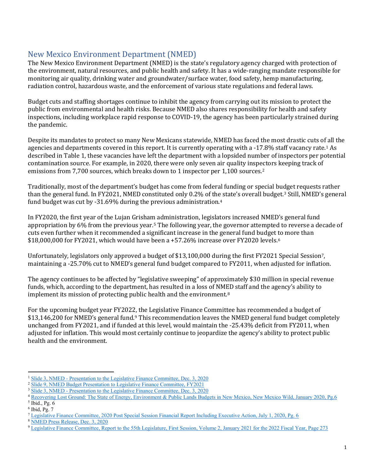## New Mexico Environment Department (NMED)

The New Mexico Environment Department (NMED) is the state's regulatory agency charged with protection of the environment, natural resources, and public health and safety. It has a wide-ranging mandate responsible for monitoring air quality, drinking water and groundwater/surface water, food safety, hemp manufacturing, radiation control, hazardous waste, and the enforcement of various state regulations and federal laws.

Budget cuts and staffing shortages continue to inhibit the agency from carrying out its mission to protect the public from environmental and health risks. Because NMED also shares responsibility for health and safety inspections, including workplace rapid response to COVID-19, the agency has been particularly strained during the pandemic.

Despite its mandates to protect so many New Mexicans statewide, NMED has faced the most drastic cuts of all the agencies and departments covered in this report. It is currently operating with a -17.8% staff vacancy rate.[1](#page-2-0) As described in Table 1, these vacancies have left the department with a lopsided number of inspectors per potential contamination source. For example, in 2020, there were only seven air quality inspectors keeping track of emissions from 7,700 sources, which breaks down to 1 inspector per 1,100 sources.[2](#page-2-1)

Traditionally, most of the department's budget has come from federal funding or special budget requests rather than the general fund. In FY2021, NMED constituted only 0.2% of the state's overall budget.<sup>[3](#page-2-2)</sup> Still, NMED's general fund budget was cut by -31.69% during the previous administration[.4](#page-2-3)

In FY2020, the first year of the Lujan Grisham administration, legislators increased NMED's general fund appropriation by 6% from the previous year.[5](#page-2-4) The following year, the governor attempted to reverse a decade of cuts even further when it recommended a significant increase in the general fund budget to more than  $$18,000,000$  for FY2021, which would have been a +57.2[6](#page-2-5)% increase over FY2020 levels.<sup>6</sup>

Unfortunately, legislators only approved a budget of \$13,100,000 during the first FY2021 Special Session[7](#page-2-6), maintaining a -25.70% cut to NMED's general fund budget compared to FY2011, when adjusted for inflation.

The agency continues to be affected by "legislative sweeping" of approximately \$30 million in special revenue funds, which, according to the department, has resulted in a loss of NMED staff and the agency's ability to implement its mission of protecting public health and the environment.<sup>[8](#page-2-7)</sup>

For the upcoming budget year FY2022, the Legislative Finance Committee has recommended a budget of \$13,146,200 for NMED's general fund.<sup>[9](#page-2-8)</sup> This recommendation leaves the NMED general fund budget completely unchanged from FY2021, and if funded at this level, would maintain the -25.43% deficit from FY2011, when adjusted for inflation. This would most certainly continue to jeopardize the agency's ability to protect public health and the environment.

<span id="page-2-0"></span><sup>&</sup>lt;sup>1</sup> Slide 3, NMED - Presentation to the Legislative Finance Committee, Dec. 3, 2020<br>
<sup>2</sup> [Slide 9, NMED Budget Presentation to Legislative Finance Committee, FY2021](https://www.nmlegis.gov/handouts/ALFC%20120919%20Item%2022%20NMED%20FY21%20LFC%20Slides.pdf)<br>
<sup>3</sup> Slide 3, NMED - Presentation to the Legislative Finan

<span id="page-2-1"></span>

<span id="page-2-2"></span>

<span id="page-2-3"></span><sup>&</sup>lt;sup>4</sup> [Recovering Lost Ground: The State of Energy, Environment & Public Lands Budgets in New Mexico, New Mexico Wild, January 2020, Pg.6](https://www.nmwild.org/2020/01/14/new-analysis-shows-deep-cuts-staffing-vacancies-at-energy-environment-and-public-lands-agencies-in-new-mexico/)  $<sup>5</sup>$  Ibid., Pg. 6</sup>

<span id="page-2-5"></span><span id="page-2-4"></span><sup>6</sup> Ibid, Pg. 7

<span id="page-2-6"></span><sup>7</sup> [Legislative Finance Committee, 2020 Post Special Session Financial Report Including Executive Action, July 1, 2020, Pg.](https://www.nmlegis.gov/Entity/LFC/Documents/Session_Publications/Post_Session_Fiscal_Reviews/2020%20Post%20Special%20Session%20Financial%20Report%20Including%20Exec%20Action.pdf) 6

<span id="page-2-7"></span><sup>8</sup> [NMED Press Release, Dec. 3, 2020](https://www.env.nm.gov/wp-content/uploads/2020/12/2020-12-03-NMED-presents-budget-to-LFC.pdf)

<span id="page-2-8"></span><sup>9</sup> [Legislative Finance Committee, Report to the 55th Legislature, First Session, Volume 2, January 2021 for the 2022 Fiscal Year, Page 273](https://www.nmlegis.gov/Entity/LFC/Documents/Session_Publications/Budget_Recommendations/2022RecommendVolII.pdf)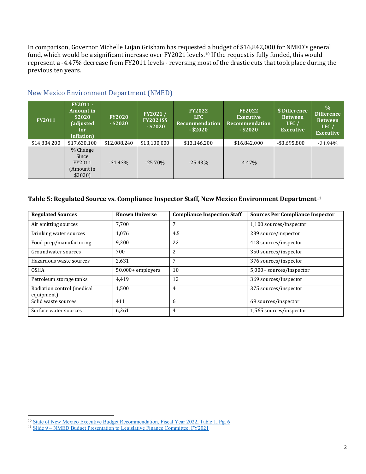In comparison, Governor Michelle Lujan Grisham has requested a budget of \$16,842,000 for NMED's general fund, which would be a significant increase over FY2021 levels.<sup>[10](#page-3-0)</sup> If the request is fully funded, this would represent a -4.47% decrease from FY2011 levels - reversing most of the drastic cuts that took place during the previous ten years.

| <b>FY2011</b> | <b>FY2011-</b><br><b>Amount</b> in<br>\$2020<br>(adjusted<br>for<br>inflation) | <b>FY2020</b><br>$-$ \$2020 | FY2021/<br><b>FY2021SS</b><br>$-$ \$2020 | <b>FY2022</b><br>LFC.<br><b>Recommendation</b><br>$-$ \$2020 | <b>FY2022</b><br><b>Executive</b><br><b>Recommendation</b><br>$-$ \$2020 | \$ Difference<br><b>Between</b><br>LFC/<br><b>Executive</b> | $\frac{0}{0}$<br><b>Difference</b><br><b>Between</b><br>LFC<br><b>Executive</b> |
|---------------|--------------------------------------------------------------------------------|-----------------------------|------------------------------------------|--------------------------------------------------------------|--------------------------------------------------------------------------|-------------------------------------------------------------|---------------------------------------------------------------------------------|
| \$14,834,200  | \$17,630,100                                                                   | \$12,088,240                | \$13,100,000                             | \$13,146,200                                                 | \$16,842,000                                                             | $-$ \$3,695,800                                             | $-21.94%$                                                                       |
|               | % Change<br>Since<br>FY2011<br>(Amount in<br>\$2020]                           | $-31.43\%$                  | $-25.70\%$                               | $-25.43\%$                                                   | $-4.47\%$                                                                |                                                             |                                                                                 |

## New Mexico Environment Department (NMED)

#### **Table 5: Regulated Source vs. Compliance Inspector Staff, New Mexico Environment Department**[11](#page-3-1)

| <b>Regulated Sources</b>                 | <b>Known Universe</b> | <b>Compliance Inspection Staff</b> | <b>Sources Per Compliance Inspector</b> |
|------------------------------------------|-----------------------|------------------------------------|-----------------------------------------|
| Air emitting sources                     | 7.700                 | 7                                  | 1,100 sources/inspector                 |
| Drinking water sources                   | 1,076                 | 4.5                                | 239 source/inspector                    |
| Food prep/manufacturing                  | 9,200                 | 22                                 | 418 sources/inspector                   |
| Groundwater sources                      | 700                   | $\overline{2}$                     | 350 sources/inspector                   |
| Hazardous waste sources                  | 2,631                 | 7                                  | 376 sources/inspector                   |
| <b>OSHA</b>                              | $50,000+$ employers   | 10                                 | 5,000+ sources/inspector                |
| Petroleum storage tanks                  | 4,419                 | 12                                 | 369 sources/inspector                   |
| Radiation control (medical<br>equipment) | 1,500                 | $\overline{4}$                     | 375 sources/inspector                   |
| Solid waste sources                      | 411                   | 6                                  | 69 sources/inspector                    |
| Surface water sources                    | 6,261                 | $\overline{4}$                     | 1,565 sources/inspector                 |

<span id="page-3-0"></span><sup>&</sup>lt;sup>10</sup> [State of New Mexico Executive Budget Recommendation, Fiscal Year 2022, Table 1, Pg. 6](http://nmdfa.state.nm.us/uploads/files/SBD/FY%2020/FY22%20Executive%20Budget%20Recommendation.pdf)

<span id="page-3-1"></span><sup>&</sup>lt;sup>11</sup> Slide 9 – [NMED Budget Presentation to Legislative Finance Committee, FY2021](https://www.nmlegis.gov/handouts/ALFC%20120919%20Item%2022%20NMED%20FY21%20LFC%20Slides.pdf)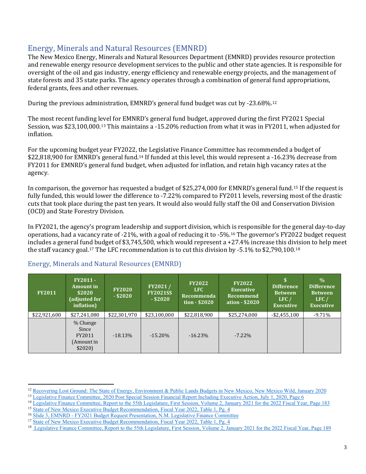# Energy, Minerals and Natural Resources (EMNRD)

The New Mexico Energy, Minerals and Natural Resources Department (EMNRD) provides resource protection and renewable energy resource development services to the public and other state agencies. It is responsible for oversight of the oil and gas industry, energy efficiency and renewable energy projects, and the management of state forests and 35 state parks. The agency operates through a combination of general fund appropriations, federal grants, fees and other revenues.

During the previous administration, EMNRD's general fund budget was cut by -23.68%.[12](#page-4-0)

The most recent funding level for EMNRD's general fund budget, approved during the first FY2021 Special Session, was \$23,100,000.[13](#page-4-1) This maintains a -15.20% reduction from what it was in FY2011, when adjusted for inflation.

For the upcoming budget year FY2022, the Legislative Finance Committee has recommended a budget of \$22,818,900 for EMNRD's general fund.[14](#page-4-2) If funded at this level, this would represent a -16.23% decrease from FY2011 for EMNRD's general fund budget, when adjusted for inflation, and retain high vacancy rates at the agency.

In comparison, the governor has requested a budget of \$25,274,000 for EMNRD's general fund.[15](#page-4-3) If the request is fully funded, this would lower the difference to -7.22% compared to FY2011 levels, reversing most of the drastic cuts that took place during the past ten years. It would also would fully staff the Oil and Conservation Division (OCD) and State Forestry Division.

In FY2021, the agency's program leadership and support division, which is responsible for the general day-to-day operations, had a vacancy rate of -21%, with a goal of reducing it to -5%.[16](#page-4-4) The governor's FY2022 budget request includes a general fund budget of \$3,745,500, which would represent a +27.4% increase this division to help meet the staff vacancy goal.<sup>[17](#page-4-5)</sup> The LFC recommendation is to cut this division by  $-5.1\%$  to \$2,790,100.<sup>[18](#page-4-6)</sup>

| <b>FY2011</b> | <b>FY2011 -</b><br><b>Amount in</b><br>\$2020<br>(adjusted for<br>inflation) | <b>FY2020</b><br>$-$ \$2020 | FY2021/<br><b>FY2021SS</b><br>$-$ \$2020 | <b>FY2022</b><br>LFC.<br>Recommenda<br>tion - \$2020 | <b>FY2022</b><br><b>Executive</b><br>Recommend<br>  ation - \$2020 | Difference<br><b>Between</b><br>LFC/<br><b>Executive</b> | $\frac{0}{0}$<br><b>Difference</b><br><b>Between</b><br>LFC/<br><b>Executive</b> |
|---------------|------------------------------------------------------------------------------|-----------------------------|------------------------------------------|------------------------------------------------------|--------------------------------------------------------------------|----------------------------------------------------------|----------------------------------------------------------------------------------|
| \$22,921,600  | \$27,241,080                                                                 | \$22,301,970                | \$23,100,000                             | \$22,818,900                                         | \$25,274,000                                                       | $-$ \$2,455,100                                          | $-9.71%$                                                                         |
|               | % Change<br>Since<br>FY2011<br>(Amount in<br>\$2020]                         | $-18.13%$                   | $-15.20\%$                               | $-16.23\%$                                           | $-7.22\%$                                                          |                                                          |                                                                                  |

#### Energy, Minerals and Natural Resources (EMNRD)

<span id="page-4-0"></span><sup>&</sup>lt;sup>12</sup> [Recovering Lost Ground: The State of Energy, Environment & Public Lands Budgets in New Mexico, New Mexico Wild, January 2020](https://www.nmwild.org/2020/01/14/new-analysis-shows-deep-cuts-staffing-vacancies-at-energy-environment-and-public-lands-agencies-in-new-mexico/)

<span id="page-4-1"></span><sup>&</sup>lt;sup>13</sup> Legislative Finance Committee, [2020 Post Special Session Financial Report Including Executive Action, July 1, 2020, Page 6](https://www.nmlegis.gov/Entity/LFC/Documents/Session_Publications/Post_Session_Fiscal_Reviews/2020%20Post%20Special%20Session%20Financial%20Report%20Including%20Exec%20Action.pdf)

<span id="page-4-2"></span><sup>&</sup>lt;sup>14</sup> [Legislative Finance Committee, Report to the 55th Legislature, First Session, Volume 2, January 2021 for the 2022 Fiscal Year, Page 183](https://www.nmlegis.gov/Entity/LFC/Documents/Session_Publications/Budget_Recommendations/2022RecommendVolII.pdf) <sup>15</sup> [State of New Mexico Executive Budget Recommendation, Fiscal Year 2022, Table 1, Pg. 4](http://nmdfa.state.nm.us/uploads/files/SBD/FY%2020/FY22%20Executive%20Budget%20Recommendation.pdf)

<span id="page-4-4"></span><span id="page-4-3"></span><sup>16</sup> Slide 3, EMNRD - [FY2021 Budget Request Presentation, N.M. Legislative Finance Committee](https://www.nmlegis.gov/handouts/ALFC%20111919%20Item%2019%20FY21BUDGET.pdf)

<span id="page-4-5"></span><sup>&</sup>lt;sup>17</sup> [State of New Mexico Executive Budget Recommendation, Fiscal Year 2022, Table 1, Pg. 4](http://nmdfa.state.nm.us/uploads/files/SBD/FY%2020/FY22%20Executive%20Budget%20Recommendation.pdf)

<span id="page-4-6"></span><sup>&</sup>lt;sup>18</sup> [Legislative Finance Committee, Report to the 55th Legislature, First Session, Volume 2, January 2021 for the 2022 Fiscal Year, Page 189](https://www.nmlegis.gov/Entity/LFC/Documents/Session_Publications/Budget_Recommendations/2022RecommendVolII.pdf)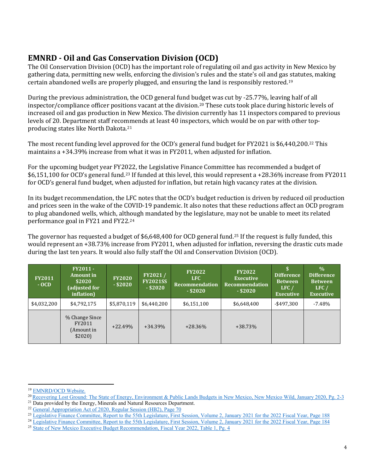# **EMNRD - Oil and Gas Conservation Division (OCD)**

The Oil Conservation Division (OCD) has the important role of regulating oil and gas activity in New Mexico by gathering data, permitting new wells, enforcing the division's rules and the state's oil and gas statutes, making certain abandoned wells are properly plugged, and ensuring the land is responsibly restored.[19](#page-5-0)

During the previous administration, the OCD general fund budget was cut by -25.77%, leaving half of all inspector/compliance officer positions vacant at the division.[20](#page-5-1) These cuts took place during historic levels of increased oil and gas production in New Mexico. The division currently has 11 inspectors compared to previous levels of 20. Department staff recommends at least 40 inspectors, which would be on par with other topproducing states like North Dakota.[21](#page-5-2)

The most recent funding level approved for the OCD's general fund budget for FY2021 is \$6,440,200.[22](#page-5-3) This maintains a +34.39% increase from what it was in FY2011, when adjusted for inflation.

For the upcoming budget year FY2022, the Legislative Finance Committee has recommended a budget of \$6,151,100 for OCD's general fund.[23](#page-5-4) If funded at this level, this would represent a +28.36% increase from FY2011 for OCD's general fund budget, when adjusted for inflation, but retain high vacancy rates at the division.

In its budget recommendation, the LFC notes that the OCD's budget reduction is driven by reduced oil production and prices seen in the wake of the COVID-19 pandemic. It also notes that these reductions affect an OCD program to plug abandoned wells, which, although mandated by the legislature, may not be unable to meet its related performance goal in FY21 and FY22[.24](#page-5-5)

The governor has requested a budget of \$6,648,400 for OCD general fund.[25](#page-5-6) If the request is fully funded, this would represent an +38.73% increase from FY2011, when adjusted for inflation, reversing the drastic cuts made during the last ten years. It would also fully staff the Oil and Conservation Division (OCD).

| <b>FY2011</b><br>$-OCD$ | <b>FY2011 -</b><br><b>Amount in</b><br>\$2020<br>(adjusted for<br>inflation) | <b>FY2020</b><br>$-$ \$2020 | FY2021/<br><b>FY2021SS</b><br>$-$ \$2020 | <b>FY2022</b><br><b>LFC</b><br>Recommendation<br>$-$ \$2020 | <b>FY2022</b><br><b>Executive</b><br><b>Recommendation</b><br>$-$ \$2020 | <b>Difference</b><br><b>Between</b><br>LFC/<br><b>Executive</b> | $\frac{0}{0}$<br><b>Difference</b><br><b>Between</b><br>LFC/<br><b>Executive</b> |
|-------------------------|------------------------------------------------------------------------------|-----------------------------|------------------------------------------|-------------------------------------------------------------|--------------------------------------------------------------------------|-----------------------------------------------------------------|----------------------------------------------------------------------------------|
| \$4,032,200             | \$4,792,175                                                                  | \$5,870,119                 | \$6,440,200                              | \$6,151,100                                                 | \$6,648,400                                                              | $-$ \$497.300                                                   | $-7.48%$                                                                         |
|                         | % Change Since<br>FY2011<br>(Amount in<br>\$2020]                            | $+22.49%$                   | $+34.39%$                                | $+28.36\%$                                                  | $+38.73\%$                                                               |                                                                 |                                                                                  |

<span id="page-5-1"></span>

<span id="page-5-0"></span><sup>&</sup>lt;sup>19</sup> EMNRD/OCD Website.<br><sup>20</sup> [Recovering Lost Ground: The State of Energy, Environment & Public Lands](https://www.nmwild.org/2020/01/14/new-analysis-shows-deep-cuts-staffing-vacancies-at-energy-environment-and-public-lands-agencies-in-new-mexico/) Budgets in New Mexico, New Mexico Wild, January 2020, Pg. 2-3<br><sup>21</sup> Data provided by the Energy, Minerals and Natural Reso

<span id="page-5-2"></span>

<span id="page-5-3"></span><sup>&</sup>lt;sup>22</sup> [General Appropriation Act of 2020, Regular Session](https://www.nmlegis.gov/Sessions/20%20Regular/final/HB0002.pdf) (HB2), Page 70

<sup>&</sup>lt;sup>23</sup> [Legislative Finance Committee, Report to the 55th Legislature, First Session, Volume 2, January 2021 for the 2022 Fiscal Year, Page 188](https://www.nmlegis.gov/Entity/LFC/Documents/Session_Publications/Budget_Recommendations/2022RecommendVolII.pdf)

<span id="page-5-5"></span><span id="page-5-4"></span><sup>&</sup>lt;sup>24</sup> [Legislative Finance Committee, Report to the 55th Legislature, First Session, Volume 2,](https://www.nmlegis.gov/Entity/LFC/Documents/Session_Publications/Budget_Recommendations/2022RecommendVolII.pdf) January 2021 for the 2022 Fiscal Year, Page 184

<span id="page-5-6"></span><sup>&</sup>lt;sup>25</sup> [State of New Mexico Executive Budget Recommendation, Fiscal Year 2022, Table 1, Pg. 4](http://nmdfa.state.nm.us/uploads/files/SBD/FY%2020/FY22%20Executive%20Budget%20Recommendation.pdf)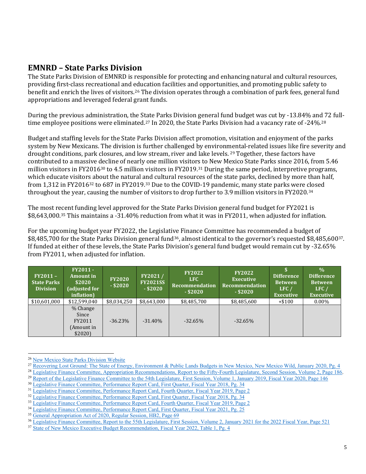## **EMNRD – State Parks Division**

The State Parks Division of EMNRD is responsible for protecting and enhancing natural and cultural resources, providing first-class recreational and education facilities and opportunities, and promoting public safety to benefit and enrich the lives of visitors.[26](#page-6-0) The division operates through a combination of park fees, general fund appropriations and leveraged federal grant funds.

During the previous administration, the State Parks Division general fund budget was cut by -13.84% and 72 full-time employee positions were eliminated.<sup>[27](#page-6-1)</sup> In 2020, the State Parks Division had a vacancy rate of -24%.<sup>[28](#page-6-2)</sup>

Budget and staffing levels for the State Parks Division affect promotion, visitation and enjoyment of the parks system by New Mexicans. The division is further challenged by environmental-related issues like fire severity and drought conditions, park closures, and low stream, river and lake levels. [29](#page-6-3) Together, these factors have contributed to a massive decline of nearly one million visitors to New Mexico State Parks since 2016, from 5.46 million visitors in FY2016<sup>[30](#page-6-4)</sup> to 4.5 million visitors in FY2019.<sup>[31](#page-6-5)</sup> During the same period, interpretive programs, which educate visitors about the natural and cultural resources of the state parks, declined by more than half, from 1,312 in FY2016<sup>[32](#page-6-6)</sup> to 687 in FY2019.<sup>33</sup> Due to the COVID-19 pandemic, many state parks were closed throughout the year, causing the number of visitors to drop further to 3.9 million visitors in FY2020.[34](#page-6-8)

The most recent funding level approved for the State Parks Division general fund budget for FY2021 is \$8,643,000.[35](#page-6-9) This maintains a -31.40% reduction from what it was in FY2011, when adjusted for inflation.

For the upcoming budget year FY2022, the Legislative Finance Committee has recommended a budget of \$8,485,700 for the State Parks Division general fund<sup>[36](#page-6-10)</sup>, almost identical to the governor's requested \$8,485,600<sup>[37](#page-6-11)</sup>. If funded at either of these levels, the State Parks Division's general fund budget would remain cut by -32.65% from FY2011, when adjusted for inflation.

| $FY2011-$<br><b>State Parks</b><br><b>Division</b> | <b>FY2011-</b><br>Amount in<br>\$2020<br>(adjusted for<br>inflation) | <b>FY2020</b><br>$-$ \$2020 | FY2021/<br><b>FY2021SS</b><br>$-$ \$2020 | <b>FY2022</b><br>LFC.<br>Recommendation<br>$-$ \$2020 | <b>FY2022</b><br><b>Executive</b><br><b>Recommendation</b><br>$-$ \$2020 | <b>Difference</b><br><b>Between</b><br>LFC/<br><b>Executive</b> | $\frac{0}{0}$<br><b>Difference</b><br><b>Between</b><br>LFC<br><b>Executive</b> |
|----------------------------------------------------|----------------------------------------------------------------------|-----------------------------|------------------------------------------|-------------------------------------------------------|--------------------------------------------------------------------------|-----------------------------------------------------------------|---------------------------------------------------------------------------------|
| \$10,601,000                                       | \$12,599,040                                                         | \$8,034,250                 | \$8,643,000                              | \$8,485,700                                           | \$8,485,600                                                              | $+ $100$                                                        | $0.00\%$                                                                        |
|                                                    | % Change<br>Since<br>FY2011<br>(Amount in<br>\$2020]                 | $-36.23%$                   | $-31.40\%$                               | $-32.65%$                                             | $-32.65%$                                                                |                                                                 |                                                                                 |

<span id="page-6-0"></span><sup>&</sup>lt;sup>26</sup> [New Mexico State Parks Division Website](http://www.emnrd.state.nm.us/SPD/missionandvision.html)

<span id="page-6-1"></span><sup>&</sup>lt;sup>27</sup> [Recovering Lost Ground: The State of Energy, Environment & Public Lands Budgets in New Mexico, New Mexico Wild, January 2020, Pg. 4](https://www.nmwild.org/2020/01/14/new-analysis-shows-deep-cuts-staffing-vacancies-at-energy-environment-and-public-lands-agencies-in-new-mexico/)<br><sup>28</sup> Legislative Finance Committee, Appropriation Recommendations, Report to the Fift

<span id="page-6-2"></span>

<span id="page-6-3"></span><sup>&</sup>lt;sup>29</sup> [Report of the Legislative Finance Committee to the 54th Legislature, First Session, Volume 1, January 2019, Fiscal Year 2020, Page 146](https://www.nmlegis.gov/Entity/LFC/Documents/Session_Publications/Budget_Recommendations/2020RecommendVolI.pdf) <sup>30</sup> [Legislative Finance Committee, Performance Report Card, First Quarter, Fiscal Year 2018, Pg. 34](https://www.nmlegis.gov/Entity/LFC/Documents/Agency_Report_Cards/Report%20Card%20Packet%20-%20Q1%20FY18.pdf)

<span id="page-6-5"></span><span id="page-6-4"></span><sup>31</sup> [Legislative Finance Committee, Performance Report Card, Fourth Quarter, Fiscal Year 2019, Page 2](https://www.nmlegis.gov/Entity/LFC/Documents/Agency_Report_Cards/521%20-%20EMNRD%20Q4%20FY19.pdf)

<span id="page-6-6"></span><sup>&</sup>lt;sup>32</sup> Legislativ<u>e Finance Committee, Performance Report Card, First Quarter, Fiscal Year 2018, Pg. 34</u>

<span id="page-6-7"></span><sup>33</sup> [Legislative Finance Committee, Performance Report Card, Fourth Quarter, Fiscal Year 2019, Page 2](https://www.nmlegis.gov/Entity/LFC/Documents/Agency_Report_Cards/521%20-%20EMNRD%20Q4%20FY19.pdf)

<span id="page-6-8"></span><sup>&</sup>lt;sup>34</sup> [Legislative Finance Committee, Performance Report Card, First Quarter, Fiscal Year 2021, Pg. 25](https://www.nmlegis.gov/Entity/LFC/Documents/Agency_Report_Cards/00%20FULL%20PACKET%20Q1%20FY21.pdf)

<span id="page-6-9"></span><sup>&</sup>lt;sup>35</sup> [General Appropriation Act of 2020, Regular Session, HB2, Page 69](https://www.nmlegis.gov/Sessions/20%20Regular/final/HB0002.pdf)

<span id="page-6-10"></span><sup>&</sup>lt;sup>36</sup> [Legislative Finance Committee, Report to the 55th Legislature, First Session, Volume 2, January 2021 for the 2022 Fiscal Year, Page 521](https://www.nmlegis.gov/Entity/LFC/Documents/Session_Publications/Budget_Recommendations/2022RecommendVolII.pdf)

<span id="page-6-11"></span><sup>&</sup>lt;sup>37</sup> [State of New Mexico Executive Budget Recommendation, Fiscal Year 2022, Table 1, Pg. 4](http://nmdfa.state.nm.us/uploads/files/SBD/FY%2020/FY22%20Executive%20Budget%20Recommendation.pdf)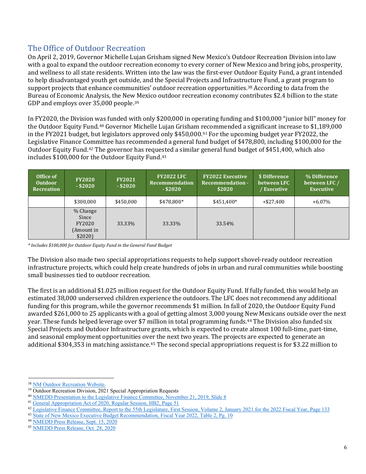# The Office of Outdoor Recreation

On April 2, 2019, Governor Michelle Lujan Grisham signed New Mexico's Outdoor Recreation Division into law with a goal to expand the outdoor recreation economy to every corner of New Mexico and bring jobs, prosperity, and wellness to all state residents. Written into the law was the first-ever Outdoor Equity Fund, a grant intended to help disadvantaged youth get outside, and the Special Projects and Infrastructure Fund, a grant program to support projects that enhance communities' outdoor recreation opportunities.[38](#page-7-0) According to data from the Bureau of Economic Analysis, the New Mexico outdoor recreation economy contributes \$2.4 billion to the state GDP and employs over 35,000 people.[39](#page-7-1)

In FY2020, the Division was funded with only \$200,000 in operating funding and \$100,000 "junior bill" money for the Outdoor Equity Fund.[40](#page-7-2) Governor Michelle Lujan Grisham recommended a significant increase to \$1,189,000 in the FY2021 budget, but legislators approved only \$450,000.[41](#page-7-3) For the upcoming budget year FY2022, the Legislative Finance Committee has recommended a general fund budget of \$478,800, including \$100,000 for the Outdoor Equity Fund.[42](#page-7-4) The governor has requested a similar general fund budget of \$451,400, which also includes \$100,000 for the Outdoor Equity Fund.[43](#page-7-5)

| Office of<br><b>Outdoor</b><br><b>Recreation</b> | <b>FY2020</b><br>$-$ \$2020                          | <b>FY2021</b><br>$-$ \$2020 | <b>FY2022 LFC</b><br>Recommendation<br>$-$ \$2020 | <b>FY2022 Executive</b><br><b>Recommendation -</b><br>\$2020 | \$ Difference<br>between LFC<br>/ Executive | % Difference<br>between LFC /<br><b>Executive</b> |
|--------------------------------------------------|------------------------------------------------------|-----------------------------|---------------------------------------------------|--------------------------------------------------------------|---------------------------------------------|---------------------------------------------------|
|                                                  | \$300,000                                            | \$450,000                   | \$478.800*                                        | \$451,400*                                                   | $+ $27,400$                                 | $+6.07\%$                                         |
|                                                  | % Change<br>Since<br>FY2020<br>(Amount in<br>\$2020] | 33.33%                      | 33.33%                                            | 33.54%                                                       |                                             |                                                   |

*\* Includes \$100,000 for Outdoor Equity Fund in the General Fund Budget*

The Division also made two special appropriations requests to help support shovel-ready outdoor recreation infrastructure projects, which could help create hundreds of jobs in urban and rural communities while boosting small businesses tied to outdoor recreation.

The first is an additional \$1.025 million request for the Outdoor Equity Fund. If fully funded, this would help an estimated 38,000 underserved children experience the outdoors. The LFC does not recommend any additional funding for this program, while the governor recommends \$1 million. In fall of 2020, the Outdoor Equity Fund awarded \$261,000 to 25 applicants with a goal of getting almost 3,000 young New Mexicans outside over the next year. These funds helped leverage over \$7 million in total programming funds.[44](#page-7-6) The Division also funded six Special Projects and Outdoor Infrastructure grants, which is expected to create almost 100 full-time, part-time, and seasonal employment opportunities over the next two years. The projects are expected to generate an additional \$304,353 in matching assistance.[45](#page-7-7) The second special appropriations request is for \$3.22 million to

<span id="page-7-0"></span><sup>38</sup> NM [Outdoor Recreation Website.](https://www.nmoutside.com/)

<span id="page-7-1"></span><sup>&</sup>lt;sup>39</sup> Outdoor Recreation Division, 2021 Special Appropriation Requests

<span id="page-7-2"></span><sup>40</sup> [NMEDD Presentation to the Legislative Finance Committee, November 21, 2019, Slide 8](https://www.nmlegis.gov/handouts/ALFC%20111919%20Item%2020%20Economic%20Development%20Presentation.pdf)

<span id="page-7-3"></span><sup>41</sup> [General Appropriation Act of 2020, Regular Session, HB2, Page 51](https://www.nmlegis.gov/Sessions/20%20Regular/final/HB0002.pdf)

<span id="page-7-4"></span><sup>&</sup>lt;sup>42</sup> [Legislative Finance Committee, Report to the 55th Legislature, First Session, Volume 2, January 2021 for the 2022 Fiscal Year, Page 133](https://www.nmlegis.gov/Entity/LFC/Documents/Session_Publications/Budget_Recommendations/2022RecommendVolII.pdf)

<span id="page-7-5"></span><sup>43</sup> [State of New Mexico Executive Budget Recommendation, Fiscal Year 2022, Table 2, Pg. 10](http://nmdfa.state.nm.us/uploads/files/SBD/FY%2020/FY22%20Executive%20Budget%20Recommendation.pdf)

<span id="page-7-6"></span><sup>44</sup> [NMEDD Press Release, Sept. 15, 2020](https://gonm.biz/uploads/documents/pressReleases/OEF_Awards_Sept_2020.pdf)

<span id="page-7-7"></span><sup>45</sup> [NMEDD Press Release, Oct. 28, 2020](https://gonm.biz/uploads/documents/pressReleases/InfrastructureFundWinners.pdf)